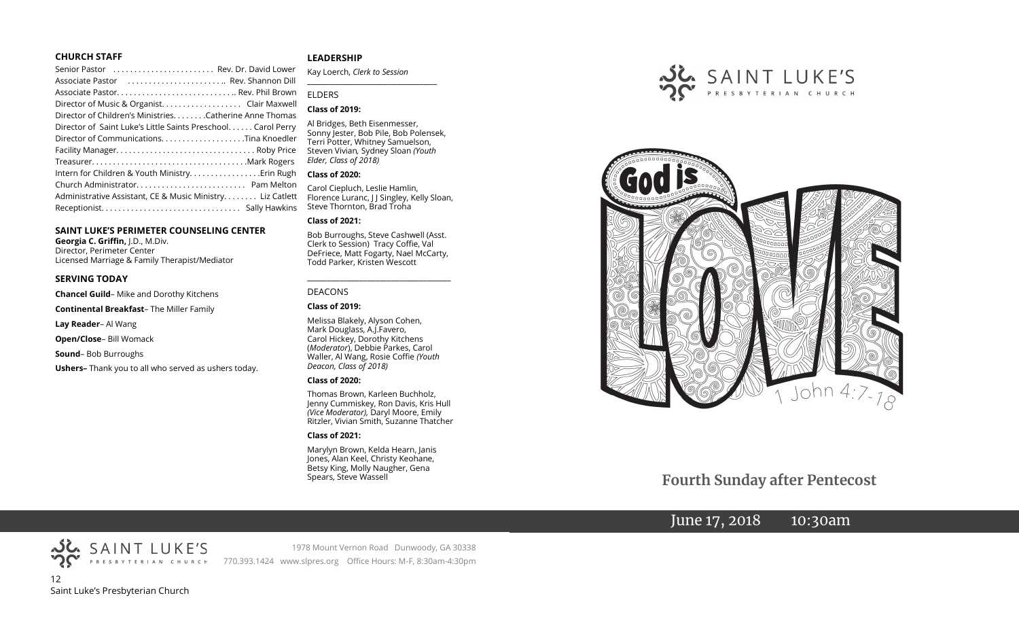#### **CHURCH STAFF**

| Senior Pastor  Rev. Dr. David Lower                          |  |
|--------------------------------------------------------------|--|
| Associate Pastor  Rev. Shannon Dill                          |  |
| Associate Pastor Rev. Phil Brown                             |  |
|                                                              |  |
| Director of Children's Ministries. Catherine Anne Thomas     |  |
| Director of Saint Luke's Little Saints Preschool Carol Perry |  |
| Director of CommunicationsTina Knoedler                      |  |
|                                                              |  |
|                                                              |  |
|                                                              |  |
|                                                              |  |
| Administrative Assistant, CE & Music Ministry Liz Catlett    |  |
|                                                              |  |
|                                                              |  |

#### **SAINT LUKE'S PERIMETER COUNSELING CENTER**

**Georgia C. Griffin,** J.D., M.Div. Director, Perimeter Center Licensed Marriage & Family Therapist/Mediator

#### **SERVING TODAY**

**Chancel Guild**– Mike and Dorothy Kitchens

**Continental Breakfast**– The Miller Family

**Lay Reader**– Al Wang

**Open/Close**– Bill Womack

**Sound**– Bob Burroughs

**Ushers–** Thank you to all who served as ushers today.

#### **LEADERSHIP**

Kay Loerch, *Clerk to Session* 

**\_\_\_\_\_\_\_\_\_\_\_\_\_\_\_\_\_\_\_\_\_\_\_\_\_\_\_\_\_\_\_\_\_\_\_\_\_\_\_**

#### ELDERS

#### **Class of 2019:**

Al Bridges, Beth Eisenmesser, Sonny Jester, Bob Pile, Bob Polensek, Terri Potter, Whitney Samuelson, Steven Vivian*,* Sydney Sloan *(Youth Elder, Class of 2018)*

#### **Class of 2020:**

Carol Ciepluch, Leslie Hamlin, Florence Luranc, J J Singley, Kelly Sloan, Steve Thornton, Brad Troha

#### **Class of 2021:**

Bob Burroughs, Steve Cashwell (Asst. Clerk to Session) Tracy Coffie, Val DeFriece, Matt Fogarty, Nael McCarty, Todd Parker, Kristen Wescott

\_\_\_\_\_\_\_\_\_\_\_\_\_\_\_\_\_\_\_\_\_\_\_\_\_\_\_\_\_\_\_\_\_\_\_\_

#### DEACONS

#### **Class of 2019:**

Melissa Blakely, Alyson Cohen, Mark Douglass, A.J.Favero, Carol Hickey, Dorothy Kitchens (*Moderator*), Debbie Parkes, Carol Waller, Al Wang, Rosie Coffie *(Youth Deacon, Class of 2018)* 

#### **Class of 2020:**

Thomas Brown, Karleen Buchholz, Jenny Cummiskey, Ron Davis, Kris Hull *(Vice Moderator),* Daryl Moore, Emily Ritzler, Vivian Smith, Suzanne Thatcher

#### **Class of 2021:**

Marylyn Brown, Kelda Hearn, Janis Jones, Alan Keel, Christy Keohane, Betsy King, Molly Naugher, Gena Spears, Steve Wassell





## **Fourth Sunday after Pentecost**

## June 17, 2018 10:30am

12 Saint Luke's Presbyterian Church

1978 Mount Vernon Road Dunwoody, GA 30338 770.393.1424 www.slpres.org Office Hours: M-F, 8:30am-4:30pm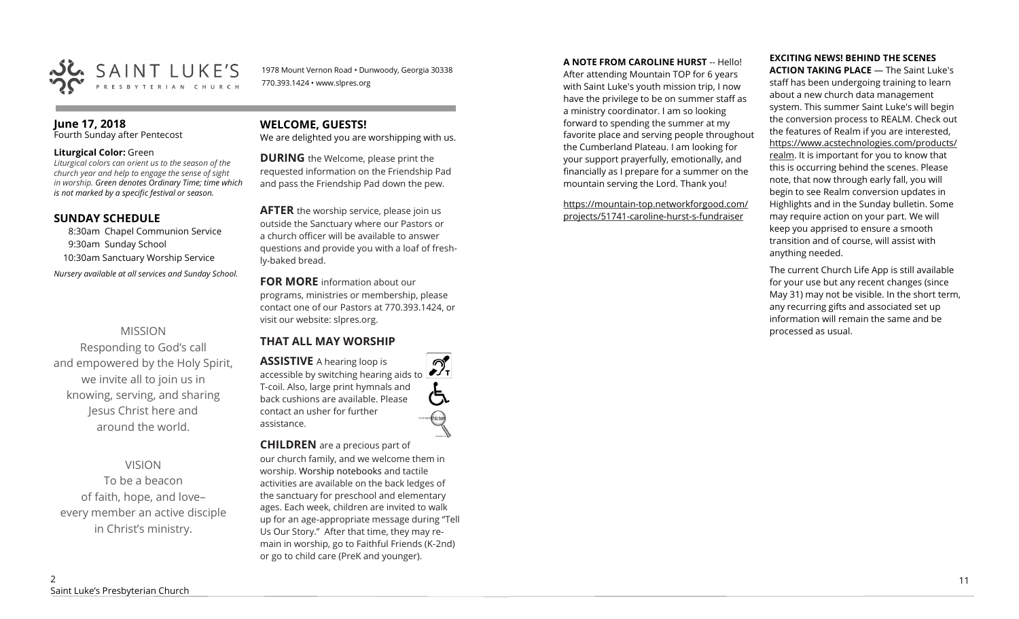

1978 Mount Vernon Road • Dunwoody, Georgia 30338 770.393.1424 • www.slpres.org

#### **June 17, 2018**

Fourth Sunday after Pentecost

#### **Liturgical Color:** Green

*Liturgical colors can orient us to the season of the church year and help to engage the sense of sight in worship. Green denotes Ordinary Time; time which is not marked by a specific festival or season.*

#### **SUNDAY SCHEDULE**

8:30am Chapel Communion Service 9:30am Sunday School 10:30am Sanctuary Worship Service

*Nursery available at all services and Sunday School.* 

#### MISSION

Responding to God's call and empowered by the Holy Spirit, we invite all to join us in knowing, serving, and sharing Jesus Christ here and around the world.

VISION

To be a beacon of faith, hope, and love– every member an active disciple in Christ's ministry.

#### **WELCOME, GUESTS!**

We are delighted you are worshipping with us.

**DURING** the Welcome, please print the requested information on the Friendship Pad and pass the Friendship Pad down the pew.

**AFTER** the worship service, please join us outside the Sanctuary where our Pastors or a church officer will be available to answer questions and provide you with a loaf of freshly-baked bread.

**FOR MORE** information about our programs, ministries or membership, please contact one of our Pastors at 770.393.1424, or visit our website: slpres.org.

#### **THAT ALL MAY WORSHIP**

**ASSISTIVE** A hearing loop is  $\mathcal{D}_{\mathrm{r}}$ accessible by switching hearing aids to T-coil. Also, large print hymnals and back cushions are available. Please contact an usher for further assistance.

#### **CHILDREN** are a precious part of

our church family, and we welcome them in worship. Worship notebooks and tactile activities are available on the back ledges of the sanctuary for preschool and elementary ages. Each week, children are invited to walk up for an age-appropriate message during "Tell Us Our Story." After that time, they may remain in worship, go to Faithful Friends (K-2nd) or go to child care (PreK and younger).

#### **A NOTE FROM CAROLINE HURST** -- Hello!

After attending Mountain TOP for 6 years with Saint Luke's youth mission trip, I now have the privilege to be on summer staff as a ministry coordinator. I am so looking forward to spending the summer at my favorite place and serving people throughout the Cumberland Plateau. I am looking for your support prayerfully, emotionally, and financially as I prepare for a summer on the mountain serving the Lord. Thank you!

https://mountain-[top.networkforgood.com/](https://mountain-top.networkforgood.com/projects/51741-caroline-hurst-s-fundraiser) [projects/51741](https://mountain-top.networkforgood.com/projects/51741-caroline-hurst-s-fundraiser)-caroline-hurst-s-fundraiser

#### **EXCITING NEWS! BEHIND THE SCENES ACTION TAKING PLACE** — The Saint Luke's

staff has been undergoing training to learn about a new church data management system. This summer Saint Luke's will begin the conversion process to REALM. Check out the features of Realm if you are interested, https://www.acstechnologies.com/products/ realm. It is important for you to know that this is occurring behind the scenes. Please note, that now through early fall, you will begin to see Realm conversion updates in Highlights and in the Sunday bulletin. Some may require action on your part. We will keep you apprised to ensure a smooth transition and of course, will assist with anything needed.

The current Church Life App is still available for your use but any recent changes (since May 31) may not be visible. In the short term, any recurring gifts and associated set up information will remain the same and be processed as usual.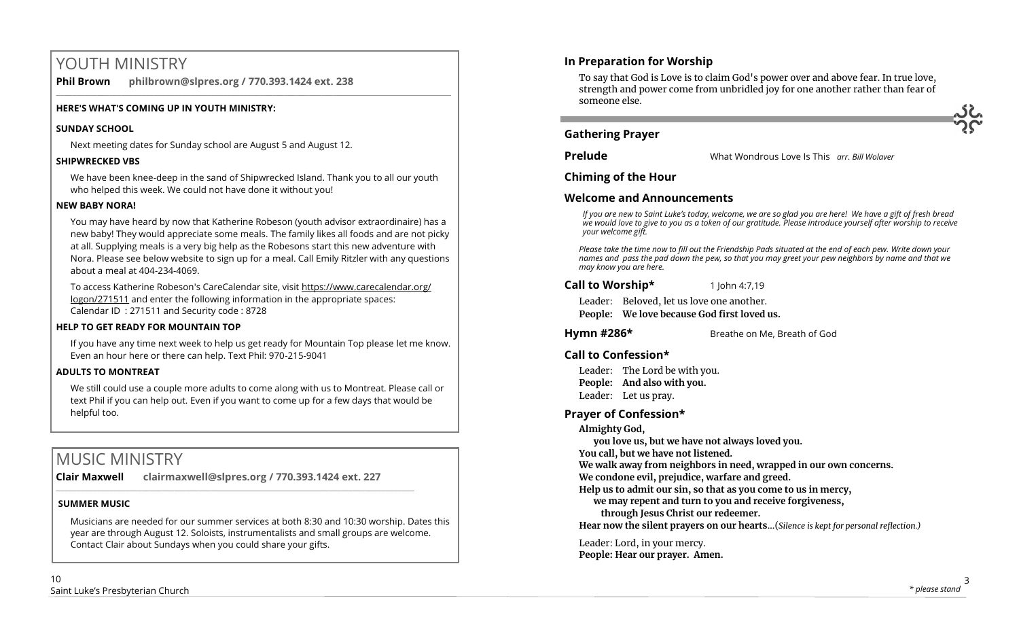# YOUTH MINISTRY

**Phil Brown philbrown@slpres.org / 770.393.1424 ext. 238**   $\_$  ,  $\_$  ,  $\_$  ,  $\_$  ,  $\_$  ,  $\_$  ,  $\_$  ,  $\_$  ,  $\_$  ,  $\_$  ,  $\_$  ,  $\_$  ,  $\_$  ,  $\_$  ,  $\_$  ,  $\_$  ,  $\_$  ,  $\_$  ,  $\_$  ,  $\_$  ,  $\_$  ,  $\_$  ,  $\_$  ,  $\_$  ,  $\_$  ,  $\_$  ,  $\_$  ,  $\_$  ,  $\_$  ,  $\_$  ,  $\_$  ,  $\_$  ,  $\_$  ,  $\_$  ,  $\_$  ,  $\_$  ,  $\_$  ,

#### **HERE'S WHAT'S COMING UP IN YOUTH MINISTRY:**

#### **SUNDAY SCHOOL**

Next meeting dates for Sunday school are August 5 and August 12.

#### **SHIPWRECKED VBS**

We have been knee-deep in the sand of Shipwrecked Island. Thank you to all our youth who helped this week. We could not have done it without you!

#### **NEW BABY NORA!**

You may have heard by now that Katherine Robeson (youth advisor extraordinaire) has a new baby! They would appreciate some meals. The family likes all foods and are not picky at all. Supplying meals is a very big help as the Robesons start this new adventure with Nora. Please see below website to sign up for a meal. Call Emily Ritzler with any questions about a meal at 404-234-4069.

To access Katherine Robeson's CareCalendar site, visit [https://www.carecalendar.org/](https://www.carecalendar.org/logon/271511) [logon/271511](https://www.carecalendar.org/logon/271511) and enter the following information in the appropriate spaces: Calendar ID : 271511 and Security code : 8728

#### **HELP TO GET READY FOR MOUNTAIN TOP**

If you have any time next week to help us get ready for Mountain Top please let me know. Even an hour here or there can help. Text Phil: 970-215-9041

#### **ADULTS TO MONTREAT**

We still could use a couple more adults to come along with us to Montreat. Please call or text Phil if you can help out. Even if you want to come up for a few days that would be helpful too.

# MUSIC MINISTRY

**Clair Maxwell clairmaxwell@slpres.org / 770.393.1424 ext. 227**   $\_$  , and the set of the set of the set of the set of the set of the set of the set of the set of the set of the set of the set of the set of the set of the set of the set of the set of the set of the set of the set of th

#### **SUMMER MUSIC**

Musicians are needed for our summer services at both 8:30 and 10:30 worship. Dates this year are through August 12. Soloists, instrumentalists and small groups are welcome. Contact Clair about Sundays when you could share your gifts.

To say that God is Love is to claim God's power over and above fear. In true love, strength and power come from unbridled joy for one another rather than fear of someone else.

#### **Gathering Prayer**

**Prelude** What Wondrous Love Is This *arr. Bill Wolaver*

**Chiming of the Hour**

#### **Welcome and Announcements**

*If you are new to Saint Luke's today, welcome, we are so glad you are here! We have a gift of fresh bread we would love to give to you as a token of our gratitude. Please introduce yourself after worship to receive your welcome gift.*

*Please take the time now to fill out the Friendship Pads situated at the end of each pew. Write down your names and pass the pad down the pew, so that you may greet your pew neighbors by name and that we may know you are here.*

#### **Call to Worship\*** 1 John 4:7.19

Leader: Beloved, let us love one another. **People: We love because God first loved us.**

**Hymn #286\*** Breathe on Me, Breath of God

# **Call to Confession\***

Leader: The Lord be with you. **People: And also with you.** Leader: Let us pray.

#### **Prayer of Confession\***

#### **Almighty God,**

**you love us, but we have not always loved you.**

**You call, but we have not listened.**

**We walk away from neighbors in need, wrapped in our own concerns.**

**We condone evil, prejudice, warfare and greed.**

**Help us to admit our sin, so that as you come to us in mercy,**

**we may repent and turn to you and receive forgiveness,**

**through Jesus Christ our redeemer.** 

**Hear now the silent prayers on our hearts**...(*Silence is kept for personal reflection.)*

Leader: Lord, in your mercy. **People: Hear our prayer. Amen.**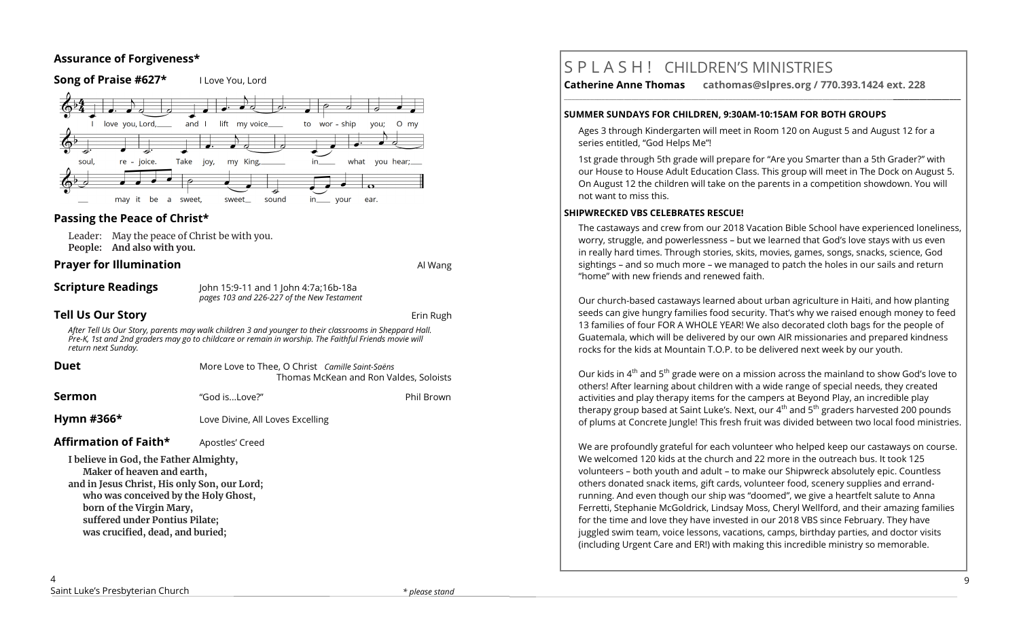#### **Assurance of Forgiveness\***



#### **Passing the Peace of Christ\***

Leader: May the peace of Christ be with you. **People: And also with you.** 

#### **Prayer for Illumination All Wang All Wang All Wang All Wang**

| <b>Scripture Readings</b>                                                                                                                                                                                                                                      | John 15:9-11 and 1 John 4:7a:16b-18a<br>pages 103 and 226-227 of the New Testament |                                        |
|----------------------------------------------------------------------------------------------------------------------------------------------------------------------------------------------------------------------------------------------------------------|------------------------------------------------------------------------------------|----------------------------------------|
| <b>Tell Us Our Story</b>                                                                                                                                                                                                                                       |                                                                                    | Erin Rugh                              |
| After Tell Us Our Story, parents may walk children 3 and younger to their classrooms in Sheppard Hall.<br>Pre-K, 1st and 2nd graders may go to childcare or remain in worship. The Faithful Friends movie will<br>return next Sunday.                          |                                                                                    |                                        |
| Duet                                                                                                                                                                                                                                                           | More Love to Thee, O Christ Camille Saint-Saëns                                    | Thomas McKean and Ron Valdes, Soloists |
| Sermon                                                                                                                                                                                                                                                         | "God is…Love?"                                                                     | Phil Brown                             |
| Hymn #366 $*$                                                                                                                                                                                                                                                  | Love Divine, All Loves Excelling                                                   |                                        |
| Affirmation of Faith*                                                                                                                                                                                                                                          | Apostles' Creed                                                                    |                                        |
| I believe in God, the Father Almighty,<br>Maker of heaven and earth,<br>and in Jesus Christ, His only Son, our Lord;<br>who was conceived by the Holy Ghost,<br>born of the Virgin Mary,<br>suffered under Pontius Pilate;<br>was crucified, dead, and buried; |                                                                                    |                                        |

# S P L A S H ! CHILDREN'S MINISTRIES

**Catherine Anne Thomas cathomas@slpres.org / 770.393.1424 ext. 228 \_\_\_\_\_\_\_\_\_\_\_\_\_\_\_\_\_\_\_\_\_\_\_\_\_\_\_\_\_\_\_\_\_\_\_\_\_\_\_\_\_\_\_\_\_\_\_\_\_\_\_\_\_\_\_\_\_\_\_\_\_\_\_\_\_\_\_\_\_\_\_\_\_\_\_\_\_\_\_\_\_\_\_\_\_\_\_\_\_\_\_\_\_\_\_\_\_\_\_\_\_\_\_\_\_\_** 

#### **SUMMER SUNDAYS FOR CHILDREN, 9:30AM-10:15AM FOR BOTH GROUPS**

Ages 3 through Kindergarten will meet in Room 120 on August 5 and August 12 for a series entitled, "God Helps Me"!

1st grade through 5th grade will prepare for "Are you Smarter than a 5th Grader?" with our House to House Adult Education Class. This group will meet in The Dock on August 5. On August 12 the children will take on the parents in a competition showdown. You will not want to miss this.

#### **SHIPWRECKED VBS CELEBRATES RESCUE!**

The castaways and crew from our 2018 Vacation Bible School have experienced loneliness, worry, struggle, and powerlessness – but we learned that God's love stays with us even in really hard times. Through stories, skits, movies, games, songs, snacks, science, God sightings – and so much more – we managed to patch the holes in our sails and return "home" with new friends and renewed faith.

Our church-based castaways learned about urban agriculture in Haiti, and how planting seeds can give hungry families food security. That's why we raised enough money to feed 13 families of four FOR A WHOLE YEAR! We also decorated cloth bags for the people of Guatemala, which will be delivered by our own AIR missionaries and prepared kindness rocks for the kids at Mountain T.O.P. to be delivered next week by our youth.

Our kids in  $4<sup>th</sup>$  and  $5<sup>th</sup>$  grade were on a mission across the mainland to show God's love to others! After learning about children with a wide range of special needs, they created activities and play therapy items for the campers at Beyond Play, an incredible play therapy group based at Saint Luke's. Next, our  $4<sup>th</sup>$  and  $5<sup>th</sup>$  graders harvested 200 pounds of plums at Concrete Jungle! This fresh fruit was divided between two local food ministries.

We are profoundly grateful for each volunteer who helped keep our castaways on course. We welcomed 120 kids at the church and 22 more in the outreach bus. It took 125 volunteers – both youth and adult – to make our Shipwreck absolutely epic. Countless others donated snack items, gift cards, volunteer food, scenery supplies and errandrunning. And even though our ship was "doomed", we give a heartfelt salute to Anna Ferretti, Stephanie McGoldrick, Lindsay Moss, Cheryl Wellford, and their amazing families for the time and love they have invested in our 2018 VBS since February. They have juggled swim team, voice lessons, vacations, camps, birthday parties, and doctor visits (including Urgent Care and ER!) with making this incredible ministry so memorable.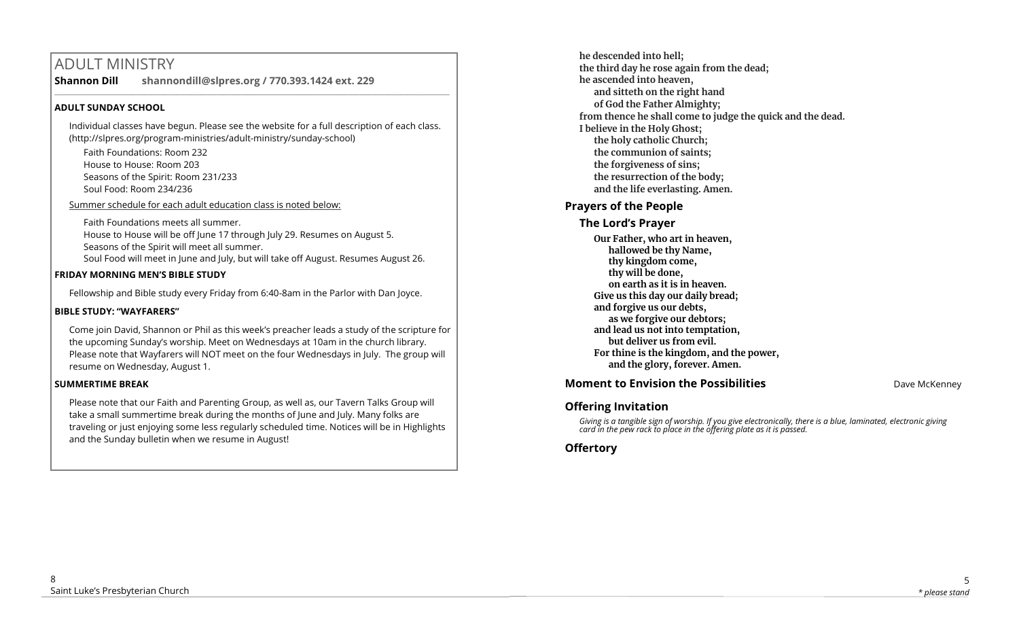# ADULT MINISTRY

**Shannon Dill shannondill@slpres.org / 770.393.1424 ext. 229** 

#### **ADULT SUNDAY SCHOOL**

Individual classes have begun. Please see the website for a full description of each class. (http://slpres.org/program-ministries/adult-ministry/sunday-school)

 $\_$  ,  $\_$  ,  $\_$  ,  $\_$  ,  $\_$  ,  $\_$  ,  $\_$  ,  $\_$  ,  $\_$  ,  $\_$  ,  $\_$  ,  $\_$  ,  $\_$  ,  $\_$  ,  $\_$  ,  $\_$  ,  $\_$  ,  $\_$  ,  $\_$ 

Faith Foundations: Room 232 House to House: Room 203 Seasons of the Spirit: Room 231/233 Soul Food: Room 234/236

#### Summer schedule for each adult education class is noted below:

Faith Foundations meets all summer. House to House will be off June 17 through July 29. Resumes on August 5. Seasons of the Spirit will meet all summer. Soul Food will meet in June and July, but will take off August. Resumes August 26.

#### **FRIDAY MORNING MEN'S BIBLE STUDY**

Fellowship and Bible study every Friday from 6:40-8am in the Parlor with Dan Joyce.

#### **BIBLE STUDY: "WAYFARERS"**

Come join David, Shannon or Phil as this week's preacher leads a study of the scripture for the upcoming Sunday's worship. Meet on Wednesdays at 10am in the church library. Please note that Wayfarers will NOT meet on the four Wednesdays in July. The group will resume on Wednesday, August 1.

#### **SUMMERTIME BREAK**

Please note that our Faith and Parenting Group, as well as, our Tavern Talks Group will take a small summertime break during the months of June and July. Many folks are traveling or just enjoying some less regularly scheduled time. Notices will be in Highlights and the Sunday bulletin when we resume in August!

**he descended into hell; the third day he rose again from the dead; he ascended into heaven, and sitteth on the right hand of God the Father Almighty; from thence he shall come to judge the quick and the dead. I believe in the Holy Ghost; the holy catholic Church; the communion of saints; the forgiveness of sins; the resurrection of the body; and the life everlasting. Amen.**

#### **Prayers of the People**

#### **The Lord's Prayer**

**Our Father, who art in heaven, hallowed be thy Name, thy kingdom come, thy will be done, on earth as it is in heaven. Give us this day our daily bread; and forgive us our debts, as we forgive our debtors; and lead us not into temptation, but deliver us from evil. For thine is the kingdom, and the power, and the glory, forever. Amen.**

## **Moment to Envision the Possibilities Dave McKenney**

## **Offering Invitation**

*Giving is a tangible sign of worship. If you give electronically, there is a blue, laminated, electronic giving card in the pew rack to place in the offering plate as it is passed.*

## **Offertory**